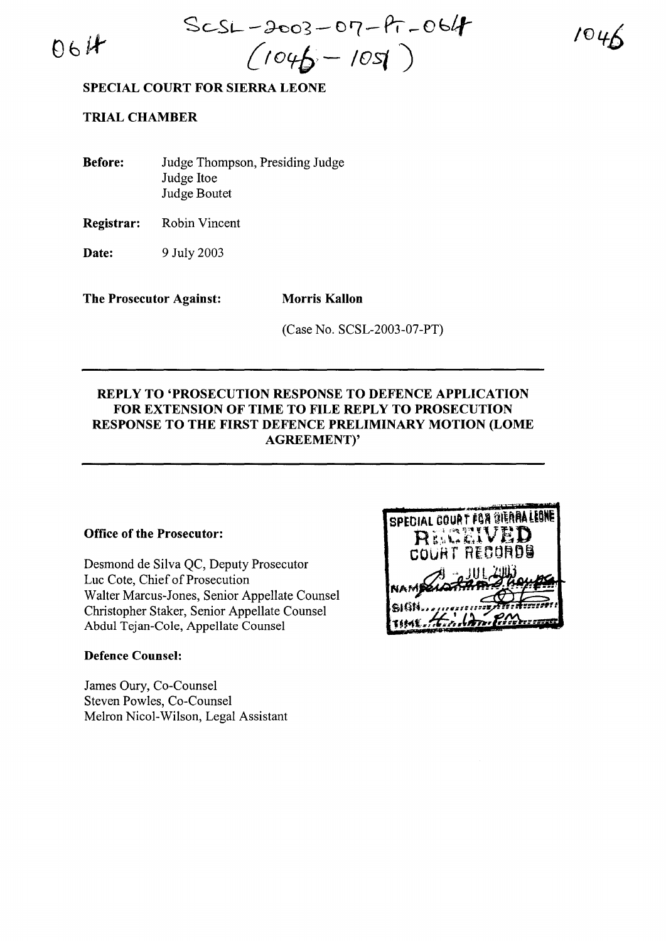$06H$ 

Se..--Si--~o3-0'7-Pt **\_Obtt-** *(Iocrb'* **- lOst )**

104

**SPECIAL COURT FOR SIERRA LEONE**

**TRIAL CHAMBER**

| <b>Before:</b> | Judge Thompson, Presiding Judge |
|----------------|---------------------------------|
|                | Judge Itoe                      |
|                | Judge Boutet                    |

**Registrar:** Robin Vincent

**Date:** 9 July 2003

**The Prosecutor Against: Morris Kallon**

(Case No. SCSL-2003-07-PT)

## **REPLY TO 'PROSECUTION RESPONSE TO DEFENCE APPLICATION FOR EXTENSION OF TIME TO FILE REPLY TO PROSECUTION RESPONSE TO THE FIRST DEFENCE PRELIMINARY MOTION (LOME AGREEMENT)'**

## **Office of the Prosecutor:**

Desmond de Silva QC, Deputy Prosecutor Luc Cote, Chief of Prosecution Walter Marcus-Jones, Senior Appellate Counsel Christopher Staker, Senior Appellate Counsel Abdul Tejan-Cole, Appellate Counsel

## **Defence Counsel:**

James Oury, Co-Counsel Steven Powles, Co-Counsel Melron Nicol-Wilson, Legal Assistant

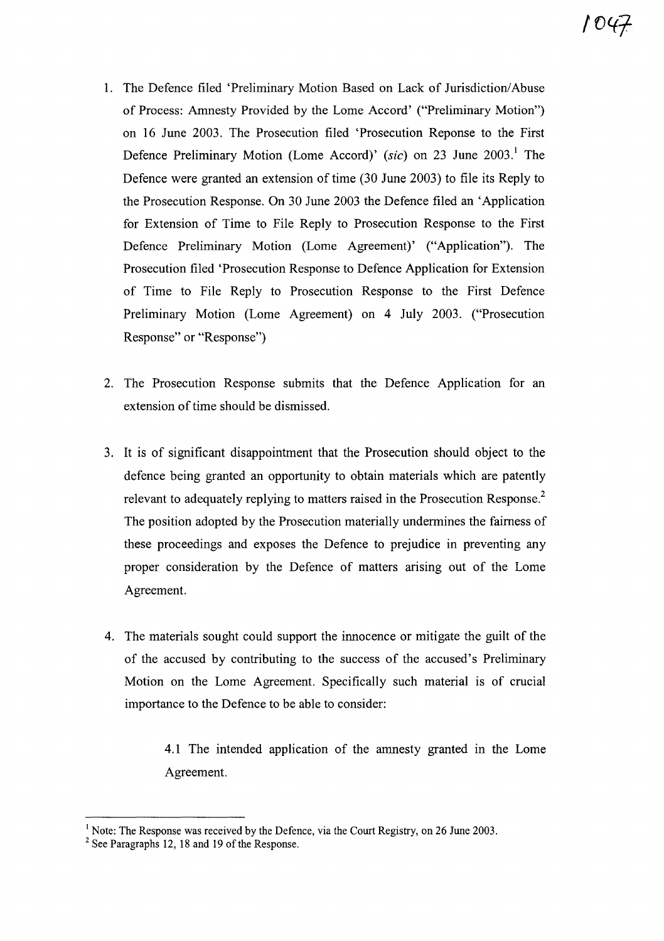- 1. The Defence filed 'Preliminary Motion Based on Lack of Jurisdiction/Abuse of Process: Amnesty Provided by the Lome Accord' ("Preliminary Motion") on 16 June 2003. The Prosecution filed 'Prosecution Reponse to the First Defence Preliminary Motion (Lome Accord)' *(sic)* on 23 June 2003.<sup>1</sup> The Defence were granted an extension of time (30 June 2003) to file its Reply to the Prosecution Response. On 30 June 2003 the Defence filed an 'Application for Extension of Time to File Reply to Prosecution Response to the First Defence Preliminary Motion (Lome Agreement)' ("Application"). The Prosecution filed 'Prosecution Response to Defence Application for Extension of Time to File Reply to Prosecution Response to the First Defence Preliminary Motion (Lome Agreement) on 4 July 2003. ("Prosecution Response" or "Response")
- 2. The Prosecution Response submits that the Defence Application for an extension of time should be dismissed.
- 3. It is of significant disappointment that the Prosecution should object to the defence being granted an opportunity to obtain materials which are patently relevant to adequately replying to matters raised in the Prosecution Response.<sup>2</sup> The position adopted by the Prosecution materially undermines the fairness of these proceedings and exposes the Defence to prejudice in preventing any proper consideration by the Defence of matters arising out of the Lome Agreement.
- 4. The materials sought could support the innocence or mitigate the guilt of the of the accused by contributing to the success of the accused's Preliminary Motion on the Lome Agreement. Specifically such material is of crucial importance to the Defence to be able to consider:

4.1 The intended application of the amnesty granted in the Lome Agreement.

<sup>&</sup>lt;sup>1</sup> Note: The Response was received by the Defence, via the Court Registry, on 26 June 2003.

 $2$  See Paragraphs 12, 18 and 19 of the Response.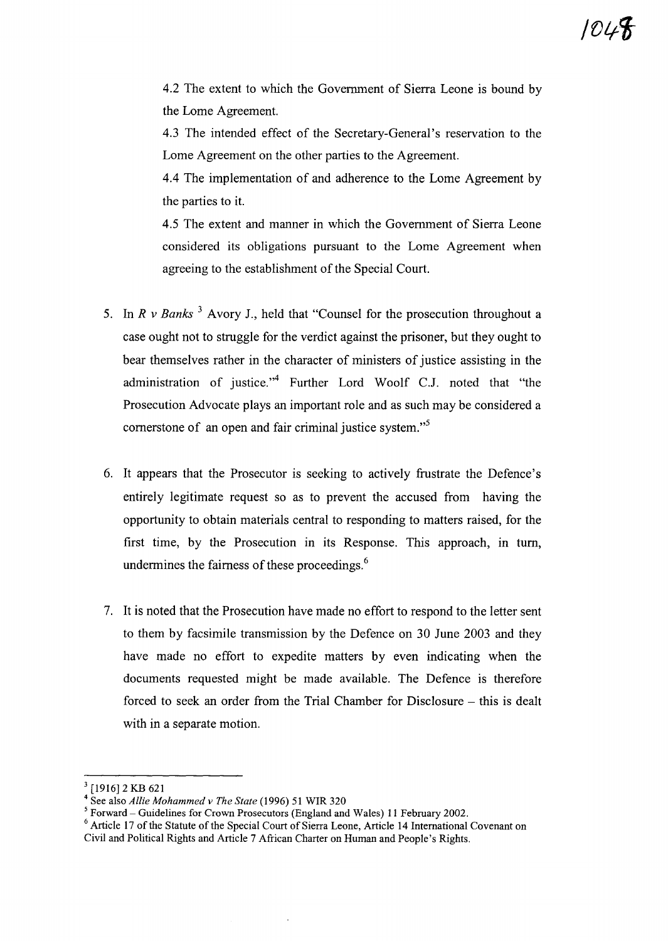4.2 The extent to which the Government of Sierra Leone is bound by the Lome Agreement.

4.3 The intended effect of the Secretary-General's reservation to the Lome Agreement on the other parties to the Agreement.

4.4 The implementation of and adherence to the Lome Agreement by the parties to it.

4.5 The extent and manner in which the Government of Sierra Leone considered its obligations pursuant to the Lome Agreement when agreeing to the establishment of the Special Court.

- 5. In *R* v *Banks* <sup>3</sup> Avory J., held that "Counsel for the prosecution throughout a case ought not to struggle for the verdict against the prisoner, but they ought to bear themselves rather in the character of ministers of justice assisting in the administration of justice."<sup>4</sup> Further Lord Woolf C.J. noted that "the Prosecution Advocate plays an important role and as such may be considered a cornerstone of an open and fair criminal justice *system."s*
- 6. It appears that the Prosecutor is seeking to actively frustrate the Defence's entirely legitimate request so as to prevent the accused from having the opportunity to obtain materials central to responding to matters raised, for the first time, by the Prosecution in its Response. This approach, in tum, undermines the fairness of these proceedings.<sup>6</sup>
- 7. It is noted that the Prosecution have made no effort to respond to the letter sent to them by facsimile transmission by the Defence on 30 June 2003 and they have made no effort to expedite matters by even indicating when the documents requested might be made available. The Defence is therefore forced to seek an order from the Trial Chamber for Disclosure – this is dealt with in a separate motion.

 $3$  [1916] 2 KB 621

<sup>4</sup> See also *Allie Mohammed v The State* (1996) 51 WIR 320

 $<sup>5</sup>$  Forward – Guidelines for Crown Prosecutors (England and Wales) 11 February 2002.</sup>

 $6$  Article 17 of the Statute of the Special Court of Sierra Leone, Article 14 International Covenant on Civil and Political Rights and Article 7 African Charter on Human and People's Rights.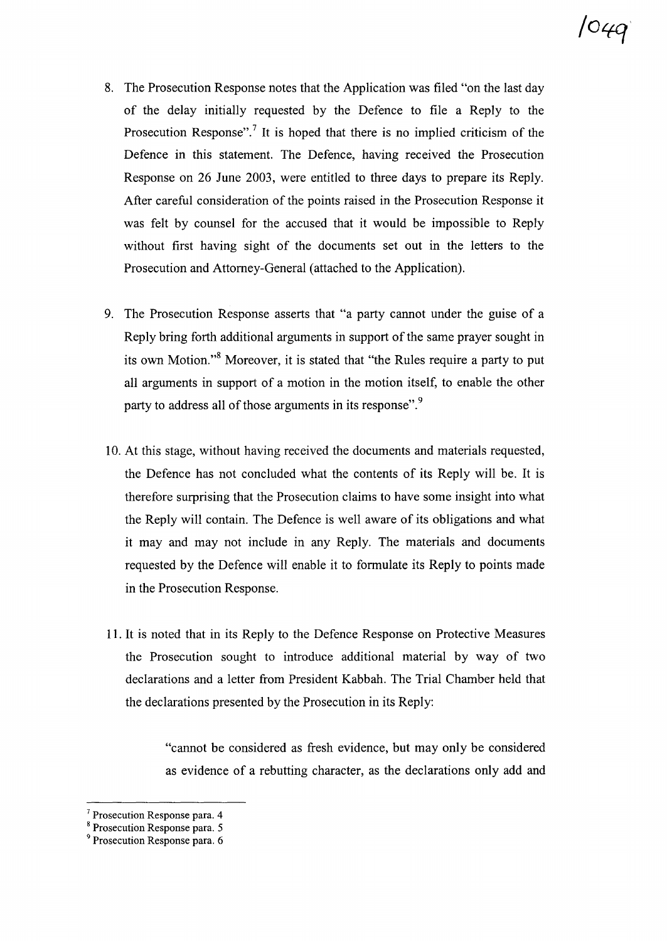- 8. The Prosecution Response notes that the Application was filed "on the last day of the delay initially requested by the Defence to file a Reply to the Prosecution Response".<sup>7</sup> It is hoped that there is no implied criticism of the Defence in this statement. The Defence, having received the Prosecution Response on 26 June 2003, were entitled to three days to prepare its Reply. After careful consideration of the points raised in the Prosecution Response it was felt by counsel for the accused that it would be impossible to Reply without first having sight of the documents set out in the letters to the Prosecution and Attorney-General (attached to the Application).
- 9. The Prosecution Response asserts that "a party cannot under the guise of a Reply bring forth additional arguments in support of the same prayer sought in its own Motion."<sup>8</sup> Moreover, it is stated that "the Rules require a party to put all arguments in support of a motion in the motion itself, to enable the other party to address all of those arguments in its response".<sup>9</sup>
- 1O. At this stage, without having received the documents and materials requested, the Defence has not concluded what the contents of its Reply will be. It is therefore surprising that the Prosecution claims to have some insight into what the Reply will contain. The Defence is well aware of its obligations and what it may and may not include in any Reply. The materials and documents requested by the Defence will enable it to formulate its Reply to points made in the Prosecution Response.
- 11. It is noted that in its Reply to the Defence Response on Protective Measures the Prosecution sought to introduce additional material by way of two declarations and a letter from President Kabbah. The Trial Chamber held that the declarations presented by the Prosecution in its Reply:

"cannot be considered as fresh evidence, but may only be considered as evidence of a rebutting character, as the declarations only add and

<sup>7</sup> Prosecution Response para. 4

<sup>8</sup> Prosecution Response para. 5

<sup>9</sup> Prosecution Response para. 6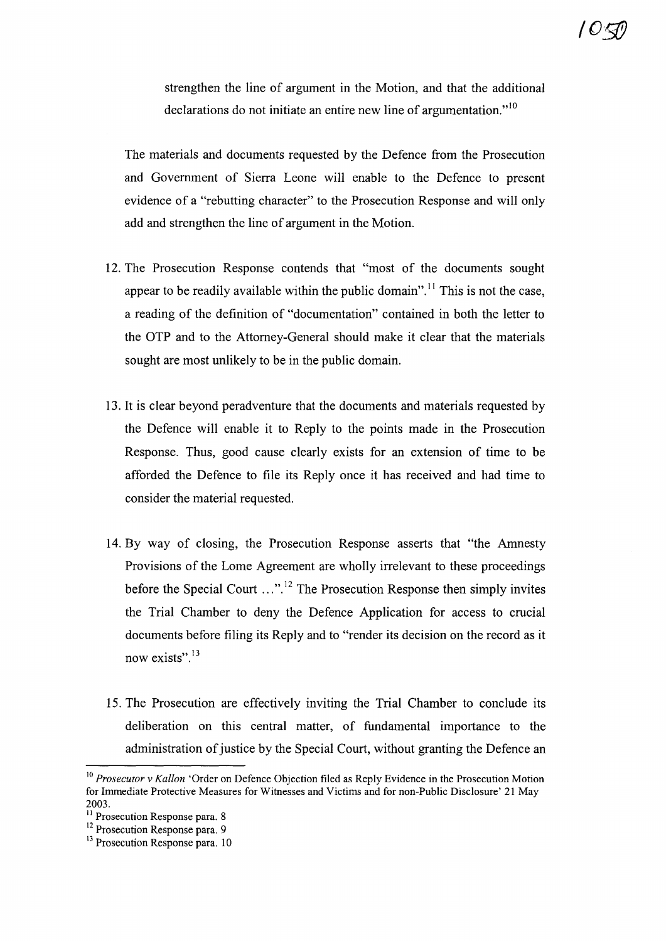strengthen the line of argument in the Motion, and that the additional declarations do not initiate an entire new line of argumentation." $10$ 

The materials and documents requested by the Defence from the Prosecution and Government of Sierra Leone will enable to the Defence to present evidence of a "rebutting character" to the Prosecution Response and will only add and strengthen the line of argument in the Motion.

- 12. The Prosecution Response contends that "most of the documents sought appear to be readily available within the public domain".<sup>11</sup> This is not the case, a reading of the definition of "documentation" contained in both the letter to the OTP and to the Attorney-General should make it clear that the materials sought are most unlikely to be in the public domain.
- 13. It is clear beyond peradventure that the documents and materials requested by the Defence will enable it to Reply to the points made in the Prosecution Response. Thus, good cause clearly exists for an extension of time to be afforded the Defence to file its Reply once it has received and had time to consider the material requested.
- 14. By way of closing, the Prosecution Response asserts that "the Amnesty Provisions of the Lome Agreement are wholly irrelevant to these proceedings before the Special Court  $\ldots$ <sup>12</sup>. The Prosecution Response then simply invites the Trial Chamber to deny the Defence Application for access to crucial documents before filing its Reply and to "render its decision on the record as it now exists".<sup>13</sup>
- 15. The Prosecution are effectively inviting the Trial Chamber to conclude its deliberation on this central matter, of fundamental importance to the administration of justice by the Special Court, without granting the Defence an

<sup>10</sup> *Prosecutor v Kallon* 'Order on Defence Objection filed as Reply Evidence in the Prosecution Motion for Immediate Protective Measures for Witnesses and Victims and for non-Public Disclosure' 21 May 2003.

<sup>&</sup>lt;sup>11</sup> Prosecution Response para. 8

<sup>&</sup>lt;sup>12</sup> Prosecution Response para. 9

<sup>&</sup>lt;sup>13</sup> Prosecution Response para. 10